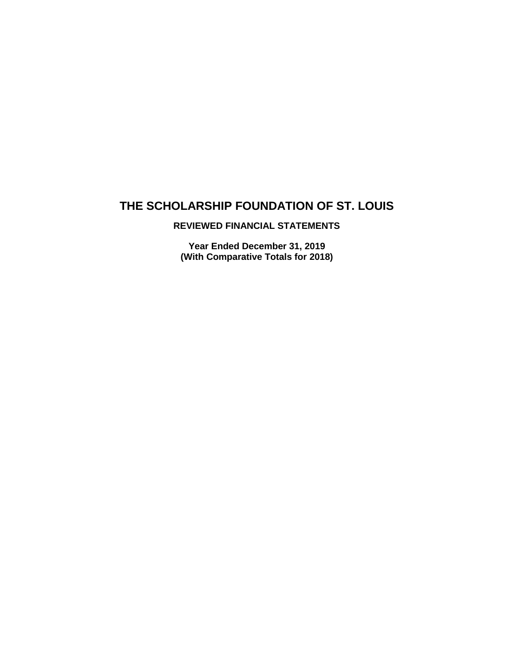## **REVIEWED FINANCIAL STATEMENTS**

**Year Ended December 31, 2019 (With Comparative Totals for 2018)**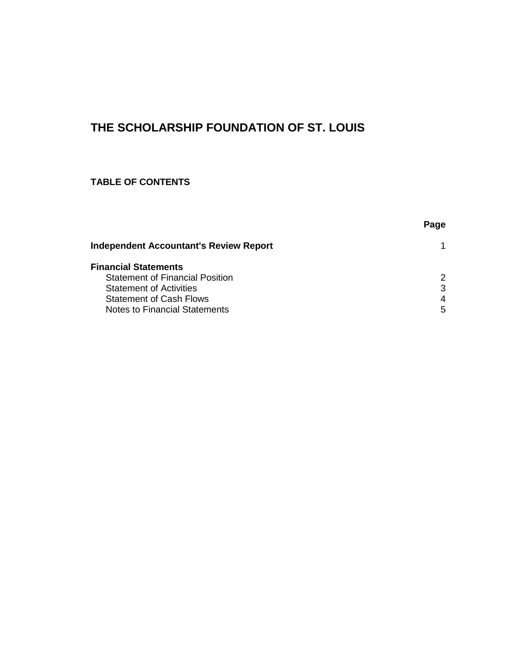## **TABLE OF CONTENTS**

|                                               | Page |
|-----------------------------------------------|------|
| <b>Independent Accountant's Review Report</b> |      |
| <b>Financial Statements</b>                   |      |
| <b>Statement of Financial Position</b>        | 2    |
| <b>Statement of Activities</b>                | 3    |
| <b>Statement of Cash Flows</b>                | 4    |
| Notes to Financial Statements                 | 5    |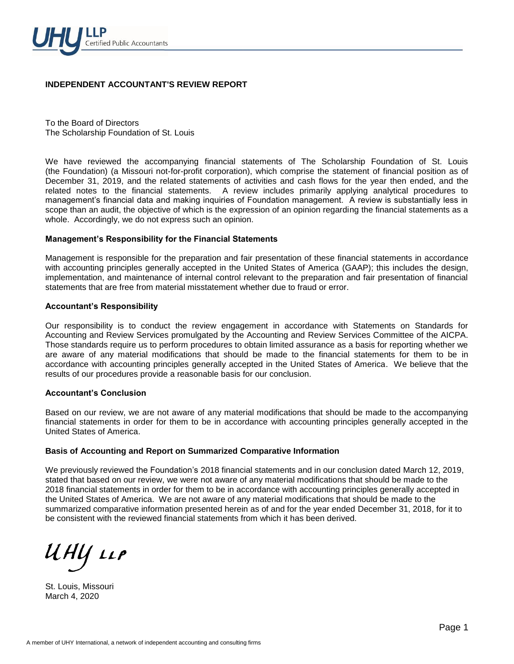

#### **INDEPENDENT ACCOUNTANT'S REVIEW REPORT**

To the Board of Directors The Scholarship Foundation of St. Louis

We have reviewed the accompanying financial statements of The Scholarship Foundation of St. Louis (the Foundation) (a Missouri not-for-profit corporation), which comprise the statement of financial position as of December 31, 2019, and the related statements of activities and cash flows for the year then ended, and the related notes to the financial statements. A review includes primarily applying analytical procedures to management's financial data and making inquiries of Foundation management. A review is substantially less in scope than an audit, the objective of which is the expression of an opinion regarding the financial statements as a whole. Accordingly, we do not express such an opinion.

#### **Management's Responsibility for the Financial Statements**

Management is responsible for the preparation and fair presentation of these financial statements in accordance with accounting principles generally accepted in the United States of America (GAAP); this includes the design, implementation, and maintenance of internal control relevant to the preparation and fair presentation of financial statements that are free from material misstatement whether due to fraud or error.

#### **Accountant's Responsibility**

Our responsibility is to conduct the review engagement in accordance with Statements on Standards for Accounting and Review Services promulgated by the Accounting and Review Services Committee of the AICPA. Those standards require us to perform procedures to obtain limited assurance as a basis for reporting whether we are aware of any material modifications that should be made to the financial statements for them to be in accordance with accounting principles generally accepted in the United States of America. We believe that the results of our procedures provide a reasonable basis for our conclusion.

#### **Accountant's Conclusion**

Based on our review, we are not aware of any material modifications that should be made to the accompanying financial statements in order for them to be in accordance with accounting principles generally accepted in the United States of America.

#### **Basis of Accounting and Report on Summarized Comparative Information**

We previously reviewed the Foundation's 2018 financial statements and in our conclusion dated March 12, 2019, stated that based on our review, we were not aware of any material modifications that should be made to the 2018 financial statements in order for them to be in accordance with accounting principles generally accepted in the United States of America. We are not aware of any material modifications that should be made to the summarized comparative information presented herein as of and for the year ended December 31, 2018, for it to be consistent with the reviewed financial statements from which it has been derived.

ИНУ 11Р

St. Louis, Missouri March 4, 2020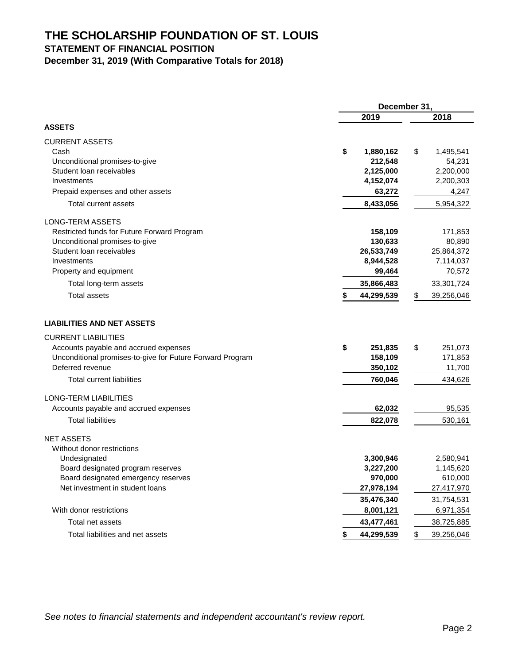## **STATEMENT OF FINANCIAL POSITION**

**December 31, 2019 (With Comparative Totals for 2018)**

|                                                           | December 31, |            |               |            |
|-----------------------------------------------------------|--------------|------------|---------------|------------|
|                                                           |              | 2019       |               | 2018       |
| <b>ASSETS</b>                                             |              |            |               |            |
| <b>CURRENT ASSETS</b>                                     |              |            |               |            |
| Cash                                                      | \$           | 1,880,162  | \$            | 1,495,541  |
| Unconditional promises-to-give                            |              | 212,548    |               | 54,231     |
| Student loan receivables                                  |              | 2,125,000  |               | 2,200,000  |
| Investments                                               |              | 4,152,074  |               | 2,200,303  |
| Prepaid expenses and other assets                         |              | 63,272     |               | 4,247      |
| Total current assets                                      |              | 8,433,056  |               | 5,954,322  |
| LONG-TERM ASSETS                                          |              |            |               |            |
| Restricted funds for Future Forward Program               |              | 158,109    |               | 171,853    |
| Unconditional promises-to-give                            |              | 130,633    |               | 80,890     |
| Student Ioan receivables                                  |              | 26,533,749 |               | 25,864,372 |
| Investments                                               |              | 8,944,528  |               | 7,114,037  |
| Property and equipment                                    |              | 99,464     |               | 70,572     |
| Total long-term assets                                    |              | 35,866,483 |               | 33,301,724 |
| <b>Total assets</b>                                       |              | 44,299,539 | \$            | 39,256,046 |
| <b>LIABILITIES AND NET ASSETS</b>                         |              |            |               |            |
| <b>CURRENT LIABILITIES</b>                                |              |            |               |            |
| Accounts payable and accrued expenses                     | \$           | 251,835    | \$            | 251,073    |
| Unconditional promises-to-give for Future Forward Program |              | 158,109    |               | 171,853    |
| Deferred revenue                                          |              | 350,102    |               | 11,700     |
| <b>Total current liabilities</b>                          |              | 760,046    |               | 434,626    |
| LONG-TERM LIABILITIES                                     |              |            |               |            |
| Accounts payable and accrued expenses                     |              | 62,032     |               | 95,535     |
| <b>Total liabilities</b>                                  |              | 822,078    |               | 530,161    |
| <b>NET ASSETS</b>                                         |              |            |               |            |
| Without donor restrictions                                |              |            |               |            |
| Undesignated                                              |              | 3,300,946  |               | 2,580,941  |
| Board designated program reserves                         |              | 3,227,200  |               | 1,145,620  |
| Board designated emergency reserves                       |              | 970,000    |               | 610,000    |
| Net investment in student loans                           |              | 27,978,194 |               | 27,417,970 |
|                                                           |              | 35,476,340 |               | 31,754,531 |
| With donor restrictions                                   |              | 8,001,121  |               | 6,971,354  |
| Total net assets                                          |              | 43,477,461 |               | 38,725,885 |
| Total liabilities and net assets                          | \$           | 44,299,539 | $\frac{1}{2}$ | 39,256,046 |

*See notes to financial statements and independent accountant's review report.*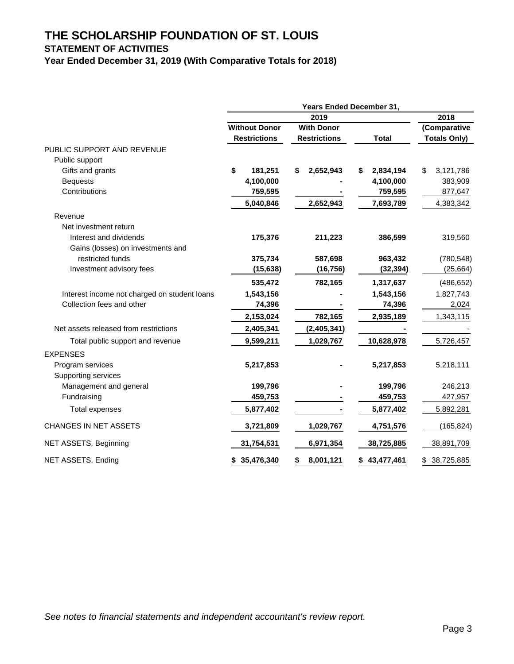## **STATEMENT OF ACTIVITIES**

**Year Ended December 31, 2019 (With Comparative Totals for 2018)**

|                                              |                      |                     | <b>Years Ended December 31,</b> |                     |
|----------------------------------------------|----------------------|---------------------|---------------------------------|---------------------|
|                                              |                      | 2019                |                                 | 2018                |
|                                              | <b>Without Donor</b> | <b>With Donor</b>   |                                 | (Comparative        |
|                                              | <b>Restrictions</b>  | <b>Restrictions</b> | <b>Total</b>                    | <b>Totals Only)</b> |
| PUBLIC SUPPORT AND REVENUE                   |                      |                     |                                 |                     |
| Public support                               |                      |                     |                                 |                     |
| Gifts and grants                             | \$<br>181,251        | 2,652,943<br>\$     | 2,834,194<br>\$                 | \$<br>3,121,786     |
| <b>Bequests</b>                              | 4,100,000            |                     | 4,100,000                       | 383,909             |
| Contributions                                | 759,595              |                     | 759,595                         | 877,647             |
|                                              | 5,040,846            | 2,652,943           | 7,693,789                       | 4,383,342           |
| Revenue                                      |                      |                     |                                 |                     |
| Net investment return                        |                      |                     |                                 |                     |
| Interest and dividends                       | 175,376              | 211,223             | 386,599                         | 319,560             |
| Gains (losses) on investments and            |                      |                     |                                 |                     |
| restricted funds                             | 375,734              | 587,698             | 963,432                         | (780, 548)          |
| Investment advisory fees                     | (15, 638)            | (16, 756)           | (32, 394)                       | (25, 664)           |
|                                              | 535,472              | 782,165             | 1,317,637                       | (486, 652)          |
| Interest income not charged on student loans | 1,543,156            |                     | 1,543,156                       | 1,827,743           |
| Collection fees and other                    | 74,396               |                     | 74,396                          | 2,024               |
|                                              | 2,153,024            | 782,165             | 2,935,189                       | 1,343,115           |
| Net assets released from restrictions        | 2,405,341            | (2,405,341)         |                                 |                     |
| Total public support and revenue             | 9,599,211            | 1,029,767           | 10,628,978                      | 5,726,457           |
| <b>EXPENSES</b>                              |                      |                     |                                 |                     |
| Program services                             | 5,217,853            |                     | 5,217,853                       | 5,218,111           |
| Supporting services                          |                      |                     |                                 |                     |
| Management and general                       | 199,796              |                     | 199,796                         | 246,213             |
| Fundraising                                  | 459,753              |                     | 459,753                         | 427,957             |
| <b>Total expenses</b>                        | 5,877,402            |                     | 5,877,402                       | 5,892,281           |
| CHANGES IN NET ASSETS                        | 3,721,809            | 1,029,767           | 4,751,576                       | (165, 824)          |
| NET ASSETS, Beginning                        | 31,754,531           | 6,971,354           | 38,725,885                      | 38,891,709          |
| NET ASSETS, Ending                           | \$ 35,476,340        | \$<br>8,001,121     | \$43,477,461                    | \$38,725,885        |

*See notes to financial statements and independent accountant's review report.*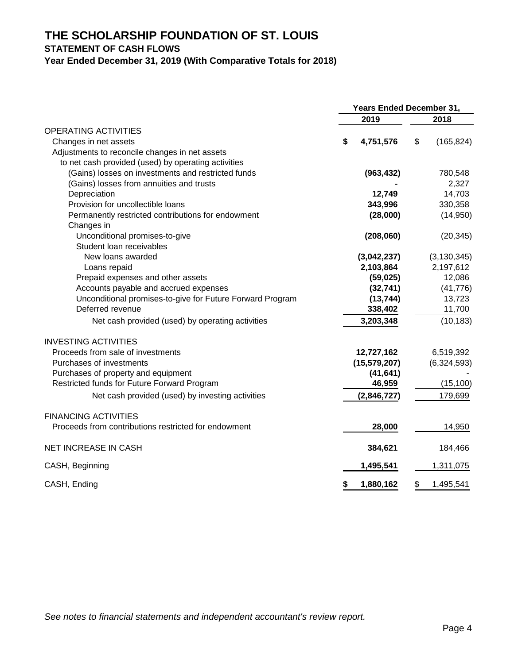# **STATEMENT OF CASH FLOWS**

**Year Ended December 31, 2019 (With Comparative Totals for 2018)**

|                                                           | Years Ended December 31, |                |    |               |
|-----------------------------------------------------------|--------------------------|----------------|----|---------------|
|                                                           |                          | 2019           |    | 2018          |
| <b>OPERATING ACTIVITIES</b>                               |                          |                |    |               |
| Changes in net assets                                     | \$                       | 4,751,576      | \$ | (165, 824)    |
| Adjustments to reconcile changes in net assets            |                          |                |    |               |
| to net cash provided (used) by operating activities       |                          |                |    |               |
| (Gains) losses on investments and restricted funds        |                          | (963, 432)     |    | 780,548       |
| (Gains) losses from annuities and trusts                  |                          |                |    | 2,327         |
| Depreciation                                              |                          | 12,749         |    | 14,703        |
| Provision for uncollectible loans                         |                          | 343,996        |    | 330,358       |
| Permanently restricted contributions for endowment        |                          | (28,000)       |    | (14,950)      |
| Changes in                                                |                          |                |    |               |
| Unconditional promises-to-give                            |                          | (208,060)      |    | (20, 345)     |
| Student loan receivables                                  |                          |                |    |               |
| New loans awarded                                         |                          | (3,042,237)    |    | (3, 130, 345) |
| Loans repaid                                              |                          | 2,103,864      |    | 2,197,612     |
| Prepaid expenses and other assets                         |                          | (59, 025)      |    | 12,086        |
| Accounts payable and accrued expenses                     |                          | (32, 741)      |    | (41, 776)     |
| Unconditional promises-to-give for Future Forward Program |                          | (13, 744)      |    | 13,723        |
| Deferred revenue                                          |                          | 338,402        |    | 11,700        |
| Net cash provided (used) by operating activities          |                          | 3,203,348      |    | (10, 183)     |
| <b>INVESTING ACTIVITIES</b>                               |                          |                |    |               |
| Proceeds from sale of investments                         |                          | 12,727,162     |    | 6,519,392     |
| Purchases of investments                                  |                          | (15, 579, 207) |    | (6,324,593)   |
| Purchases of property and equipment                       |                          | (41, 641)      |    |               |
| Restricted funds for Future Forward Program               |                          | 46,959         |    | (15, 100)     |
| Net cash provided (used) by investing activities          |                          | (2,846,727)    |    | 179,699       |
| <b>FINANCING ACTIVITIES</b>                               |                          |                |    |               |
| Proceeds from contributions restricted for endowment      |                          | 28,000         |    | 14,950        |
| NET INCREASE IN CASH                                      |                          | 384,621        |    | 184,466       |
| CASH, Beginning                                           |                          | 1,495,541      |    | 1,311,075     |
| CASH, Ending                                              | \$                       | 1,880,162      | \$ | 1,495,541     |

*See notes to financial statements and independent accountant's review report.*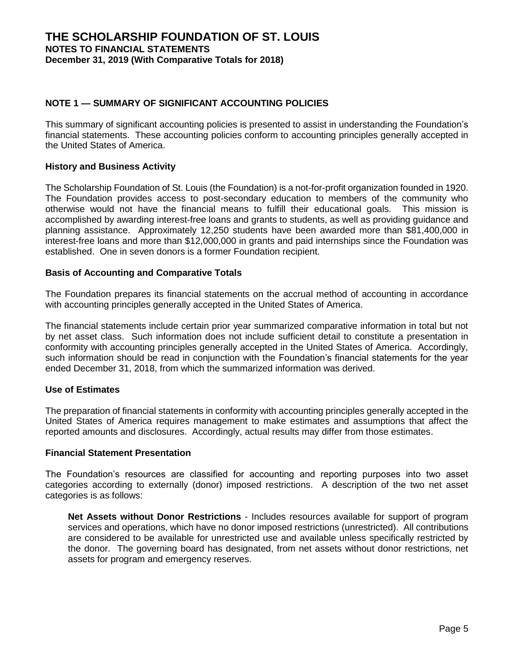## **NOTE 1 — SUMMARY OF SIGNIFICANT ACCOUNTING POLICIES**

This summary of significant accounting policies is presented to assist in understanding the Foundation's financial statements. These accounting policies conform to accounting principles generally accepted in the United States of America.

#### **History and Business Activity**

The Scholarship Foundation of St. Louis (the Foundation) is a not-for-profit organization founded in 1920. The Foundation provides access to post-secondary education to members of the community who otherwise would not have the financial means to fulfill their educational goals. This mission is accomplished by awarding interest-free loans and grants to students, as well as providing guidance and planning assistance. Approximately 12,250 students have been awarded more than \$81,400,000 in interest-free loans and more than \$12,000,000 in grants and paid internships since the Foundation was established. One in seven donors is a former Foundation recipient.

## **Basis of Accounting and Comparative Totals**

The Foundation prepares its financial statements on the accrual method of accounting in accordance with accounting principles generally accepted in the United States of America.

The financial statements include certain prior year summarized comparative information in total but not by net asset class. Such information does not include sufficient detail to constitute a presentation in conformity with accounting principles generally accepted in the United States of America. Accordingly, such information should be read in conjunction with the Foundation's financial statements for the year ended December 31, 2018, from which the summarized information was derived.

#### **Use of Estimates**

The preparation of financial statements in conformity with accounting principles generally accepted in the United States of America requires management to make estimates and assumptions that affect the reported amounts and disclosures. Accordingly, actual results may differ from those estimates.

#### **Financial Statement Presentation**

The Foundation's resources are classified for accounting and reporting purposes into two asset categories according to externally (donor) imposed restrictions. A description of the two net asset categories is as follows:

**Net Assets without Donor Restrictions** - Includes resources available for support of program services and operations, which have no donor imposed restrictions (unrestricted). All contributions are considered to be available for unrestricted use and available unless specifically restricted by the donor. The governing board has designated, from net assets without donor restrictions, net assets for program and emergency reserves.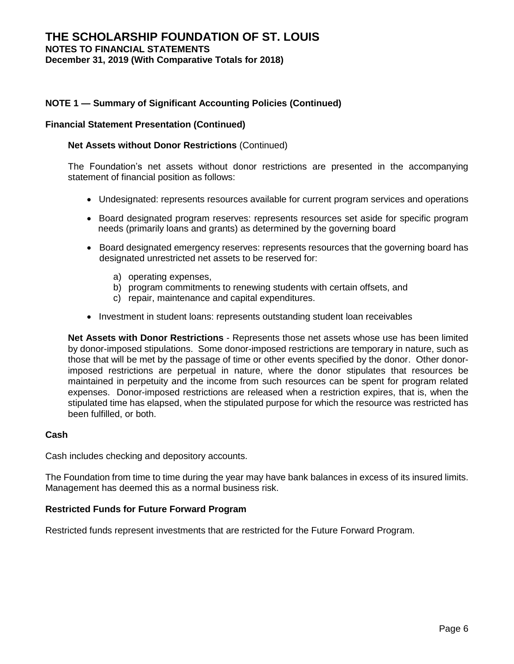## **THE SCHOLARSHIP FOUNDATION OF ST. LOUIS NOTES TO FINANCIAL STATEMENTS December 31, 2019 (With Comparative Totals for 2018)**

## **NOTE 1 — Summary of Significant Accounting Policies (Continued)**

#### **Financial Statement Presentation (Continued)**

#### **Net Assets without Donor Restrictions** (Continued)

The Foundation's net assets without donor restrictions are presented in the accompanying statement of financial position as follows:

- Undesignated: represents resources available for current program services and operations
- Board designated program reserves: represents resources set aside for specific program needs (primarily loans and grants) as determined by the governing board
- Board designated emergency reserves: represents resources that the governing board has designated unrestricted net assets to be reserved for:
	- a) operating expenses,
	- b) program commitments to renewing students with certain offsets, and
	- c) repair, maintenance and capital expenditures.
- Investment in student loans: represents outstanding student loan receivables

**Net Assets with Donor Restrictions** - Represents those net assets whose use has been limited by donor-imposed stipulations. Some donor-imposed restrictions are temporary in nature, such as those that will be met by the passage of time or other events specified by the donor. Other donorimposed restrictions are perpetual in nature, where the donor stipulates that resources be maintained in perpetuity and the income from such resources can be spent for program related expenses. Donor-imposed restrictions are released when a restriction expires, that is, when the stipulated time has elapsed, when the stipulated purpose for which the resource was restricted has been fulfilled, or both.

#### **Cash**

Cash includes checking and depository accounts.

The Foundation from time to time during the year may have bank balances in excess of its insured limits. Management has deemed this as a normal business risk.

#### **Restricted Funds for Future Forward Program**

Restricted funds represent investments that are restricted for the Future Forward Program.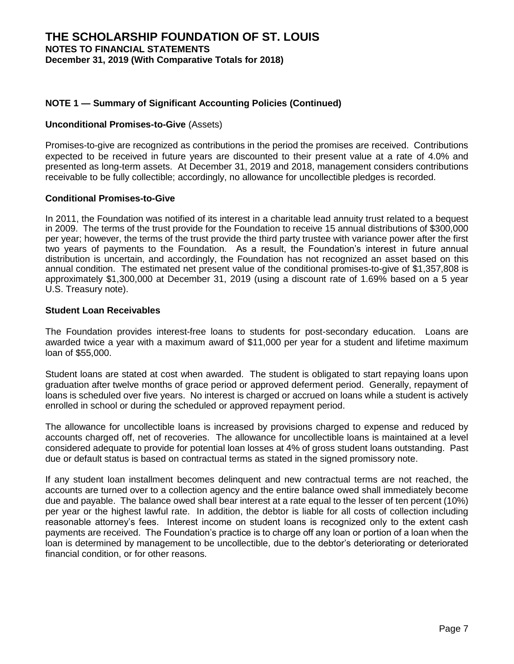## **NOTE 1 — Summary of Significant Accounting Policies (Continued)**

#### **Unconditional Promises-to-Give** (Assets)

Promises-to-give are recognized as contributions in the period the promises are received. Contributions expected to be received in future years are discounted to their present value at a rate of 4.0% and presented as long-term assets. At December 31, 2019 and 2018, management considers contributions receivable to be fully collectible; accordingly, no allowance for uncollectible pledges is recorded.

#### **Conditional Promises-to-Give**

In 2011, the Foundation was notified of its interest in a charitable lead annuity trust related to a bequest in 2009. The terms of the trust provide for the Foundation to receive 15 annual distributions of \$300,000 per year; however, the terms of the trust provide the third party trustee with variance power after the first two years of payments to the Foundation. As a result, the Foundation's interest in future annual distribution is uncertain, and accordingly, the Foundation has not recognized an asset based on this annual condition. The estimated net present value of the conditional promises-to-give of \$1,357,808 is approximately \$1,300,000 at December 31, 2019 (using a discount rate of 1.69% based on a 5 year U.S. Treasury note).

#### **Student Loan Receivables**

The Foundation provides interest-free loans to students for post-secondary education. Loans are awarded twice a year with a maximum award of \$11,000 per year for a student and lifetime maximum loan of \$55,000.

Student loans are stated at cost when awarded. The student is obligated to start repaying loans upon graduation after twelve months of grace period or approved deferment period. Generally, repayment of loans is scheduled over five years. No interest is charged or accrued on loans while a student is actively enrolled in school or during the scheduled or approved repayment period.

The allowance for uncollectible loans is increased by provisions charged to expense and reduced by accounts charged off, net of recoveries. The allowance for uncollectible loans is maintained at a level considered adequate to provide for potential loan losses at 4% of gross student loans outstanding. Past due or default status is based on contractual terms as stated in the signed promissory note.

If any student loan installment becomes delinquent and new contractual terms are not reached, the accounts are turned over to a collection agency and the entire balance owed shall immediately become due and payable.The balance owed shall bear interest at a rate equal to the lesser of ten percent (10%) per year or the highest lawful rate. In addition, the debtor is liable for all costs of collection including reasonable attorney's fees. Interest income on student loans is recognized only to the extent cash payments are received. The Foundation's practice is to charge off any loan or portion of a loan when the loan is determined by management to be uncollectible, due to the debtor's deteriorating or deteriorated financial condition, or for other reasons.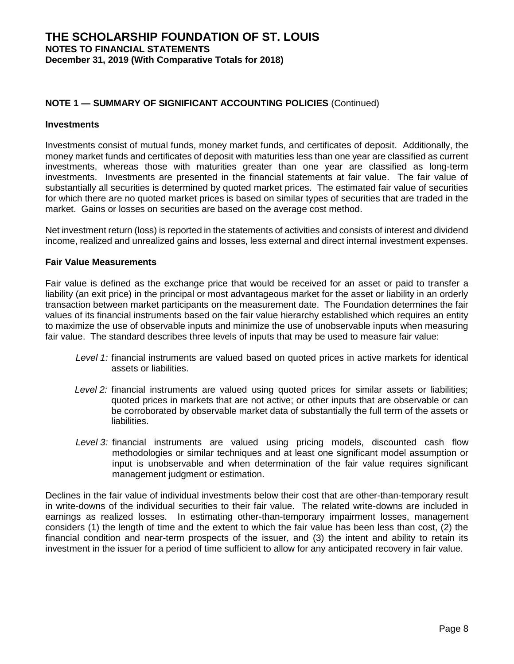#### **Investments**

Investments consist of mutual funds, money market funds, and certificates of deposit. Additionally, the money market funds and certificates of deposit with maturities less than one year are classified as current investments, whereas those with maturities greater than one year are classified as long-term investments. Investments are presented in the financial statements at fair value. The fair value of substantially all securities is determined by quoted market prices. The estimated fair value of securities for which there are no quoted market prices is based on similar types of securities that are traded in the market. Gains or losses on securities are based on the average cost method.

Net investment return (loss) is reported in the statements of activities and consists of interest and dividend income, realized and unrealized gains and losses, less external and direct internal investment expenses.

## **Fair Value Measurements**

Fair value is defined as the exchange price that would be received for an asset or paid to transfer a liability (an exit price) in the principal or most advantageous market for the asset or liability in an orderly transaction between market participants on the measurement date. The Foundation determines the fair values of its financial instruments based on the fair value hierarchy established which requires an entity to maximize the use of observable inputs and minimize the use of unobservable inputs when measuring fair value. The standard describes three levels of inputs that may be used to measure fair value:

- *Level 1:* financial instruments are valued based on quoted prices in active markets for identical assets or liabilities.
- *Level 2:* financial instruments are valued using quoted prices for similar assets or liabilities; quoted prices in markets that are not active; or other inputs that are observable or can be corroborated by observable market data of substantially the full term of the assets or liabilities.
- *Level 3:* financial instruments are valued using pricing models, discounted cash flow methodologies or similar techniques and at least one significant model assumption or input is unobservable and when determination of the fair value requires significant management judgment or estimation.

Declines in the fair value of individual investments below their cost that are other-than-temporary result in write-downs of the individual securities to their fair value. The related write-downs are included in earnings as realized losses. In estimating other-than-temporary impairment losses, management considers (1) the length of time and the extent to which the fair value has been less than cost, (2) the financial condition and near-term prospects of the issuer, and (3) the intent and ability to retain its investment in the issuer for a period of time sufficient to allow for any anticipated recovery in fair value.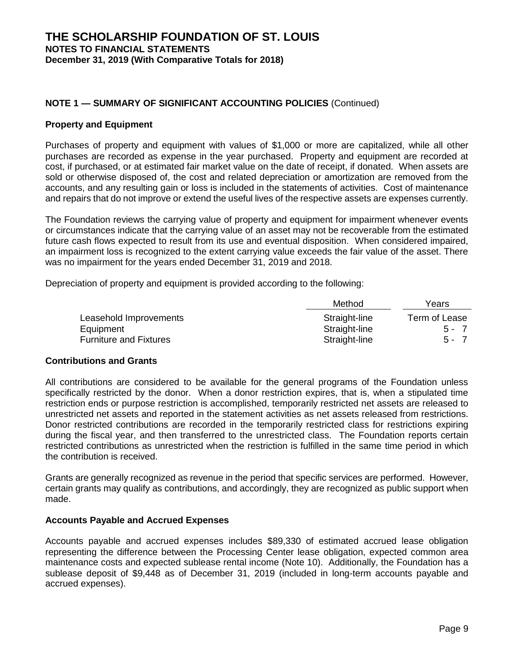#### **Property and Equipment**

Purchases of property and equipment with values of \$1,000 or more are capitalized, while all other purchases are recorded as expense in the year purchased. Property and equipment are recorded at cost, if purchased, or at estimated fair market value on the date of receipt, if donated. When assets are sold or otherwise disposed of, the cost and related depreciation or amortization are removed from the accounts, and any resulting gain or loss is included in the statements of activities. Cost of maintenance and repairs that do not improve or extend the useful lives of the respective assets are expenses currently.

The Foundation reviews the carrying value of property and equipment for impairment whenever events or circumstances indicate that the carrying value of an asset may not be recoverable from the estimated future cash flows expected to result from its use and eventual disposition. When considered impaired, an impairment loss is recognized to the extent carrying value exceeds the fair value of the asset. There was no impairment for the years ended December 31, 2019 and 2018.

Depreciation of property and equipment is provided according to the following:

|                               | Method        | Years         |
|-------------------------------|---------------|---------------|
| Leasehold Improvements        | Straight-line | Term of Lease |
| Equipment                     | Straight-line | $5 - 7$       |
| <b>Furniture and Fixtures</b> | Straight-line | $5 - 7$       |

#### **Contributions and Grants**

All contributions are considered to be available for the general programs of the Foundation unless specifically restricted by the donor. When a donor restriction expires, that is, when a stipulated time restriction ends or purpose restriction is accomplished, temporarily restricted net assets are released to unrestricted net assets and reported in the statement activities as net assets released from restrictions. Donor restricted contributions are recorded in the temporarily restricted class for restrictions expiring during the fiscal year, and then transferred to the unrestricted class. The Foundation reports certain restricted contributions as unrestricted when the restriction is fulfilled in the same time period in which the contribution is received.

Grants are generally recognized as revenue in the period that specific services are performed. However, certain grants may qualify as contributions, and accordingly, they are recognized as public support when made.

#### **Accounts Payable and Accrued Expenses**

Accounts payable and accrued expenses includes \$89,330 of estimated accrued lease obligation representing the difference between the Processing Center lease obligation, expected common area maintenance costs and expected sublease rental income (Note 10). Additionally, the Foundation has a sublease deposit of \$9,448 as of December 31, 2019 (included in long-term accounts payable and accrued expenses).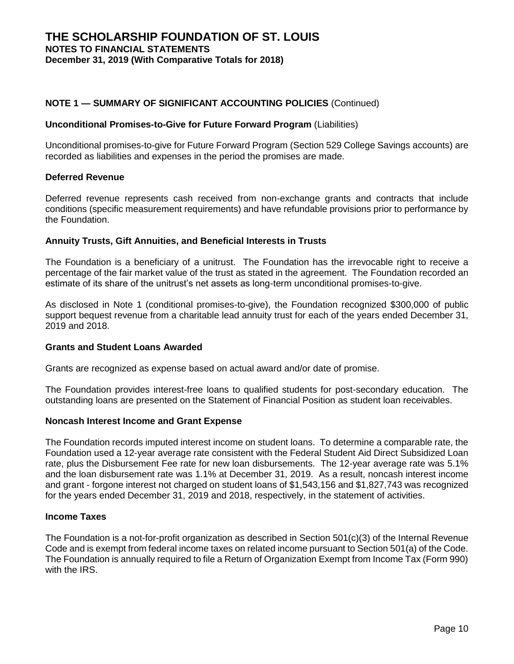#### **Unconditional Promises-to-Give for Future Forward Program** (Liabilities)

Unconditional promises-to-give for Future Forward Program (Section 529 College Savings accounts) are recorded as liabilities and expenses in the period the promises are made.

#### **Deferred Revenue**

Deferred revenue represents cash received from non-exchange grants and contracts that include conditions (specific measurement requirements) and have refundable provisions prior to performance by the Foundation.

#### **Annuity Trusts, Gift Annuities, and Beneficial Interests in Trusts**

The Foundation is a beneficiary of a unitrust. The Foundation has the irrevocable right to receive a percentage of the fair market value of the trust as stated in the agreement. The Foundation recorded an estimate of its share of the unitrust's net assets as long-term unconditional promises-to-give.

As disclosed in Note 1 (conditional promises-to-give), the Foundation recognized \$300,000 of public support bequest revenue from a charitable lead annuity trust for each of the years ended December 31, 2019 and 2018.

#### **Grants and Student Loans Awarded**

Grants are recognized as expense based on actual award and/or date of promise.

The Foundation provides interest-free loans to qualified students for post-secondary education. The outstanding loans are presented on the Statement of Financial Position as student loan receivables.

#### **Noncash Interest Income and Grant Expense**

The Foundation records imputed interest income on student loans. To determine a comparable rate, the Foundation used a 12-year average rate consistent with the Federal Student Aid Direct Subsidized Loan rate, plus the Disbursement Fee rate for new loan disbursements. The 12-year average rate was 5.1% and the loan disbursement rate was 1.1% at December 31, 2019. As a result, noncash interest income and grant - forgone interest not charged on student loans of \$1,543,156 and \$1,827,743 was recognized for the years ended December 31, 2019 and 2018, respectively, in the statement of activities.

## **Income Taxes**

The Foundation is a not-for-profit organization as described in Section 501(c)(3) of the Internal Revenue Code and is exempt from federal income taxes on related income pursuant to Section 501(a) of the Code. The Foundation is annually required to file a Return of Organization Exempt from Income Tax (Form 990) with the IRS.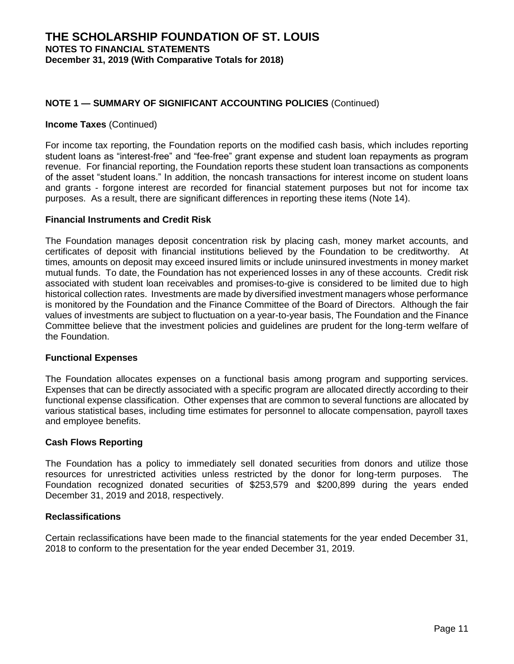#### **Income Taxes** (Continued)

For income tax reporting, the Foundation reports on the modified cash basis, which includes reporting student loans as "interest-free" and "fee-free" grant expense and student loan repayments as program revenue. For financial reporting, the Foundation reports these student loan transactions as components of the asset "student loans." In addition, the noncash transactions for interest income on student loans and grants - forgone interest are recorded for financial statement purposes but not for income tax purposes. As a result, there are significant differences in reporting these items (Note 14).

## **Financial Instruments and Credit Risk**

The Foundation manages deposit concentration risk by placing cash, money market accounts, and certificates of deposit with financial institutions believed by the Foundation to be creditworthy. At times, amounts on deposit may exceed insured limits or include uninsured investments in money market mutual funds. To date, the Foundation has not experienced losses in any of these accounts. Credit risk associated with student loan receivables and promises-to-give is considered to be limited due to high historical collection rates. Investments are made by diversified investment managers whose performance is monitored by the Foundation and the Finance Committee of the Board of Directors. Although the fair values of investments are subject to fluctuation on a year-to-year basis, The Foundation and the Finance Committee believe that the investment policies and guidelines are prudent for the long-term welfare of the Foundation.

#### **Functional Expenses**

The Foundation allocates expenses on a functional basis among program and supporting services. Expenses that can be directly associated with a specific program are allocated directly according to their functional expense classification. Other expenses that are common to several functions are allocated by various statistical bases, including time estimates for personnel to allocate compensation, payroll taxes and employee benefits.

## **Cash Flows Reporting**

The Foundation has a policy to immediately sell donated securities from donors and utilize those resources for unrestricted activities unless restricted by the donor for long-term purposes. The Foundation recognized donated securities of \$253,579 and \$200,899 during the years ended December 31, 2019 and 2018, respectively.

## **Reclassifications**

Certain reclassifications have been made to the financial statements for the year ended December 31, 2018 to conform to the presentation for the year ended December 31, 2019.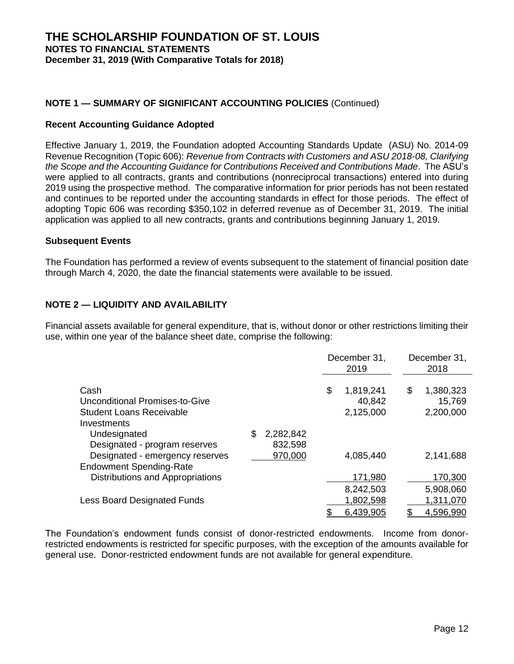## **Recent Accounting Guidance Adopted**

Effective January 1, 2019, the Foundation adopted Accounting Standards Update (ASU) No. 2014-09 Revenue Recognition (Topic 606): *Revenue from Contracts with Customers and ASU 2018-08, Clarifying the Scope and the Accounting Guidance for Contributions Received and Contributions Made*. The ASU's were applied to all contracts, grants and contributions (nonreciprocal transactions) entered into during 2019 using the prospective method. The comparative information for prior periods has not been restated and continues to be reported under the accounting standards in effect for those periods. The effect of adopting Topic 606 was recording \$350,102 in deferred revenue as of December 31, 2019. The initial application was applied to all new contracts, grants and contributions beginning January 1, 2019.

## **Subsequent Events**

The Foundation has performed a review of events subsequent to the statement of financial position date through March 4, 2020, the date the financial statements were available to be issued.

## **NOTE 2 — LIQUIDITY AND AVAILABILITY**

Financial assets available for general expenditure, that is, without donor or other restrictions limiting their use, within one year of the balance sheet date, comprise the following:

|                                                                                                       |                            | December 31,<br>2019 |                                  | December 31,<br>2018 |                                  |
|-------------------------------------------------------------------------------------------------------|----------------------------|----------------------|----------------------------------|----------------------|----------------------------------|
| Cash<br>Unconditional Promises-to-Give<br><b>Student Loans Receivable</b><br>Investments              |                            | \$                   | 1,819,241<br>40,842<br>2,125,000 | \$                   | 1,380,323<br>15,769<br>2,200,000 |
| Undesignated<br>Designated - program reserves                                                         | \$<br>2,282,842<br>832,598 |                      |                                  |                      |                                  |
| Designated - emergency reserves<br><b>Endowment Spending-Rate</b><br>Distributions and Appropriations | 970,000                    |                      | 4,085,440<br>171,980             |                      | 2,141,688<br>170,300             |
| <b>Less Board Designated Funds</b>                                                                    |                            |                      | 8,242,503<br>1,802,598           |                      | 5,908,060<br>1,311,070           |
|                                                                                                       |                            |                      | 6,439,905                        |                      | 4,596,990                        |

The Foundation's endowment funds consist of donor-restricted endowments. Income from donorrestricted endowments is restricted for specific purposes, with the exception of the amounts available for general use. Donor-restricted endowment funds are not available for general expenditure.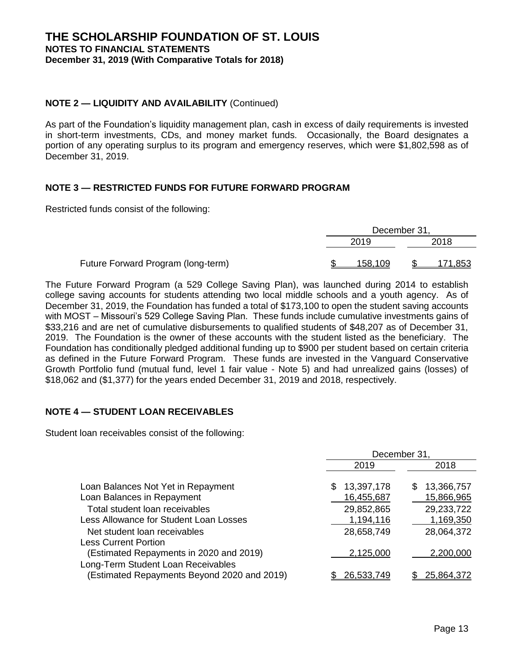## **NOTE 2 — LIQUIDITY AND AVAILABILITY** (Continued)

As part of the Foundation's liquidity management plan, cash in excess of daily requirements is invested in short-term investments, CDs, and money market funds. Occasionally, the Board designates a portion of any operating surplus to its program and emergency reserves, which were \$1,802,598 as of December 31, 2019.

## **NOTE 3 — RESTRICTED FUNDS FOR FUTURE FORWARD PROGRAM**

Restricted funds consist of the following:

|                                    | December 31, |         |      |         |
|------------------------------------|--------------|---------|------|---------|
|                                    |              | 2019    | 2018 |         |
|                                    |              |         |      |         |
| Future Forward Program (long-term) |              | 158.109 |      | 171,853 |

The Future Forward Program (a 529 College Saving Plan), was launched during 2014 to establish college saving accounts for students attending two local middle schools and a youth agency. As of December 31, 2019, the Foundation has funded a total of \$173,100 to open the student saving accounts with MOST – Missouri's 529 College Saving Plan. These funds include cumulative investments gains of \$33,216 and are net of cumulative disbursements to qualified students of \$48,207 as of December 31, 2019. The Foundation is the owner of these accounts with the student listed as the beneficiary. The Foundation has conditionally pledged additional funding up to \$900 per student based on certain criteria as defined in the Future Forward Program. These funds are invested in the Vanguard Conservative Growth Portfolio fund (mutual fund, level 1 fair value - Note 5) and had unrealized gains (losses) of \$18,062 and (\$1,377) for the years ended December 31, 2019 and 2018, respectively.

## **NOTE 4 — STUDENT LOAN RECEIVABLES**

Student loan receivables consist of the following:

|                                                                                   | December 31,            |                         |  |
|-----------------------------------------------------------------------------------|-------------------------|-------------------------|--|
|                                                                                   | 2019                    | 2018                    |  |
| Loan Balances Not Yet in Repayment                                                | 13,397,178              | 13,366,757<br>S         |  |
| Loan Balances in Repayment                                                        | 16,455,687              | 15,866,965              |  |
| Total student loan receivables<br>Less Allowance for Student Loan Losses          | 29,852,865<br>1,194,116 | 29,233,722<br>1,169,350 |  |
| Net student loan receivables                                                      | 28,658,749              | 28,064,372              |  |
| <b>Less Current Portion</b>                                                       |                         |                         |  |
| (Estimated Repayments in 2020 and 2019)                                           | 2,125,000               | 2,200,000               |  |
| Long-Term Student Loan Receivables<br>(Estimated Repayments Beyond 2020 and 2019) | 26,533,749              | 25,864,372              |  |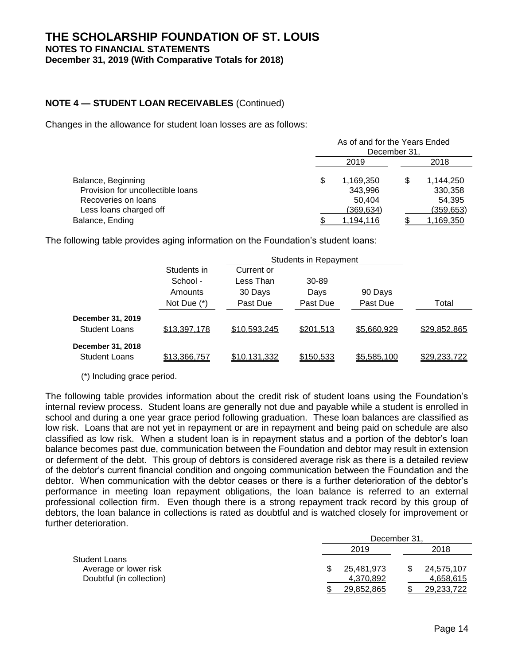## **NOTE 4 — STUDENT LOAN RECEIVABLES** (Continued)

Changes in the allowance for student loan losses are as follows:

|                                                         | As of and for the Years Ended<br>December 31. |                      |  |                      |  |
|---------------------------------------------------------|-----------------------------------------------|----------------------|--|----------------------|--|
|                                                         | 2019                                          |                      |  | 2018                 |  |
| Balance, Beginning<br>Provision for uncollectible loans |                                               | 1,169,350<br>343,996 |  | 1,144,250<br>330,358 |  |
| Recoveries on loans                                     |                                               | 50.404               |  | 54,395               |  |
| Less loans charged off                                  |                                               | (369,634)            |  | (359,653)            |  |
| Balance, Ending                                         |                                               | <u>1,194,116</u>     |  | <u>1,169,350</u>     |  |

The following table provides aging information on the Foundation's student loans:

|                      | Students in   | Current or          |           |             |              |
|----------------------|---------------|---------------------|-----------|-------------|--------------|
|                      | School -      | Less Than           | 30-89     |             |              |
|                      | Amounts       | 30 Days             | Days      | 90 Days     |              |
|                      | Not Due $(*)$ | Past Due            | Past Due  | Past Due    | Total        |
| December 31, 2019    |               |                     |           |             |              |
| <b>Student Loans</b> | \$13,397,178  | \$10,593,245        | \$201,513 | \$5,660,929 | \$29,852,865 |
| December 31, 2018    |               |                     |           |             |              |
| <b>Student Loans</b> | \$13,366,757  | <u>\$10,131,332</u> | \$150,533 | \$5,585,100 | \$29,233,722 |

(\*) Including grace period.

The following table provides information about the credit risk of student loans using the Foundation's internal review process. Student loans are generally not due and payable while a student is enrolled in school and during a one year grace period following graduation. These loan balances are classified as low risk. Loans that are not yet in repayment or are in repayment and being paid on schedule are also classified as low risk. When a student loan is in repayment status and a portion of the debtor's loan balance becomes past due, communication between the Foundation and debtor may result in extension or deferment of the debt. This group of debtors is considered average risk as there is a detailed review of the debtor's current financial condition and ongoing communication between the Foundation and the debtor. When communication with the debtor ceases or there is a further deterioration of the debtor's performance in meeting loan repayment obligations, the loan balance is referred to an external professional collection firm. Even though there is a strong repayment track record by this group of debtors, the loan balance in collections is rated as doubtful and is watched closely for improvement or further deterioration.

|                          | December 31, |            |  |            |
|--------------------------|--------------|------------|--|------------|
|                          |              | 2019       |  | 2018       |
| <b>Student Loans</b>     |              |            |  |            |
| Average or lower risk    |              | 25,481,973 |  | 24.575.107 |
| Doubtful (in collection) |              | 4,370,892  |  | 4,658,615  |
|                          |              | 29,852,865 |  | 29,233,722 |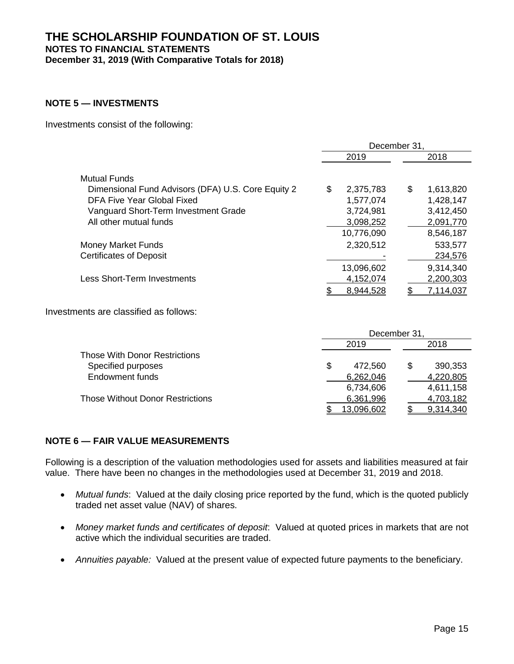## **THE SCHOLARSHIP FOUNDATION OF ST. LOUIS NOTES TO FINANCIAL STATEMENTS December 31, 2019 (With Comparative Totals for 2018)**

## **NOTE 5 — INVESTMENTS**

Investments consist of the following:

|                                                                           | December 31.    |                 |  |
|---------------------------------------------------------------------------|-----------------|-----------------|--|
|                                                                           | 2019            | 2018            |  |
| <b>Mutual Funds</b><br>Dimensional Fund Advisors (DFA) U.S. Core Equity 2 | \$<br>2,375,783 | \$<br>1,613,820 |  |
| DFA Five Year Global Fixed                                                | 1,577,074       | 1,428,147       |  |
| Vanguard Short-Term Investment Grade                                      | 3,724,981       | 3,412,450       |  |
| All other mutual funds                                                    | 3,098,252       | 2,091,770       |  |
|                                                                           | 10,776,090      | 8,546,187       |  |
| <b>Money Market Funds</b>                                                 | 2,320,512       | 533,577         |  |
| <b>Certificates of Deposit</b>                                            |                 | 234,576         |  |
|                                                                           | 13,096,602      | 9,314,340       |  |
| Less Short-Term Investments                                               | 4,152,074       | 2,200,303       |  |
|                                                                           | 8,944,528       | 7,114,037       |  |

Investments are classified as follows:

|                                         | December 31. |            |  |           |  |
|-----------------------------------------|--------------|------------|--|-----------|--|
|                                         |              | 2019       |  | 2018      |  |
| <b>Those With Donor Restrictions</b>    |              |            |  |           |  |
| Specified purposes                      | \$           | 472.560    |  | 390,353   |  |
| <b>Endowment funds</b>                  |              | 6,262,046  |  | 4,220,805 |  |
|                                         |              | 6,734,606  |  | 4,611,158 |  |
| <b>Those Without Donor Restrictions</b> |              | 6,361,996  |  | 4,703,182 |  |
|                                         |              | 13,096,602 |  | 9.314.340 |  |

#### **NOTE 6 — FAIR VALUE MEASUREMENTS**

Following is a description of the valuation methodologies used for assets and liabilities measured at fair value. There have been no changes in the methodologies used at December 31, 2019 and 2018.

- *Mutual funds*: Valued at the daily closing price reported by the fund, which is the quoted publicly traded net asset value (NAV) of shares.
- *Money market funds and certificates of deposit*: Valued at quoted prices in markets that are not active which the individual securities are traded.
- *Annuities payable:* Valued at the present value of expected future payments to the beneficiary.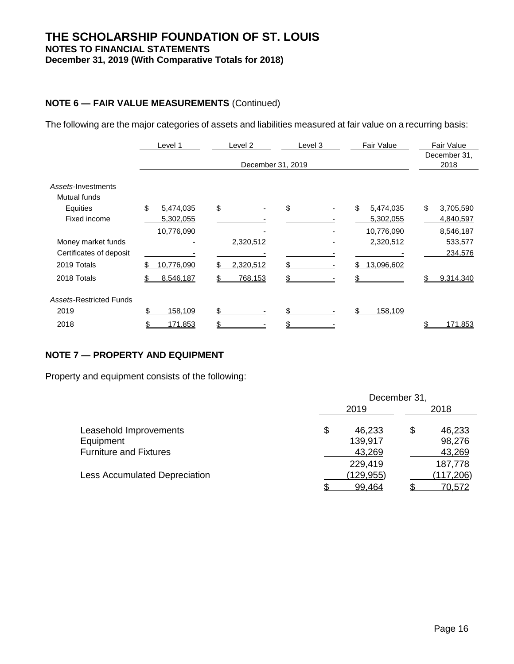## **THE SCHOLARSHIP FOUNDATION OF ST. LOUIS NOTES TO FINANCIAL STATEMENTS December 31, 2019 (With Comparative Totals for 2018)**

## **NOTE 6 — FAIR VALUE MEASUREMENTS** (Continued)

The following are the major categories of assets and liabilities measured at fair value on a recurring basis:

|                                | Level 1         | Level <sub>2</sub> | Level 3 | Fair Value      | <b>Fair Value</b> |  |
|--------------------------------|-----------------|--------------------|---------|-----------------|-------------------|--|
|                                |                 |                    |         |                 | December 31,      |  |
|                                |                 | December 31, 2019  |         |                 | 2018              |  |
| Assets-Investments             |                 |                    |         |                 |                   |  |
| Mutual funds                   |                 |                    |         |                 |                   |  |
| Equities                       | \$<br>5,474,035 | \$                 | \$      | \$<br>5,474,035 | \$<br>3,705,590   |  |
| Fixed income                   | 5,302,055       |                    |         | 5,302,055       | 4,840,597         |  |
|                                | 10,776,090      |                    |         | 10,776,090      | 8,546,187         |  |
| Money market funds             |                 | 2,320,512          |         | 2,320,512       | 533,577           |  |
| Certificates of deposit        |                 |                    |         |                 | 234,576           |  |
| 2019 Totals                    | 10,776,090      | 2,320,512          |         | 13,096,602      |                   |  |
| 2018 Totals                    | 8,546,187       | 768,153            |         |                 | 9,314,340         |  |
| <b>Assets-Restricted Funds</b> |                 |                    |         |                 |                   |  |
| 2019                           | 158,109         |                    |         | 158,109         |                   |  |
| 2018                           | 171,853         |                    |         |                 | 171,853           |  |

## **NOTE 7 — PROPERTY AND EQUIPMENT**

Property and equipment consists of the following:

|                               | December 31. |            |    |            |  |
|-------------------------------|--------------|------------|----|------------|--|
|                               |              | 2019       |    | 2018       |  |
| Leasehold Improvements        | \$           | 46,233     | \$ | 46,233     |  |
| Equipment                     |              | 139,917    |    | 98,276     |  |
| <b>Furniture and Fixtures</b> |              | 43,269     |    | 43,269     |  |
|                               |              | 229,419    |    | 187,778    |  |
| Less Accumulated Depreciation |              | (129, 955) |    | (117, 206) |  |
|                               |              | 99,464     |    | 70,572     |  |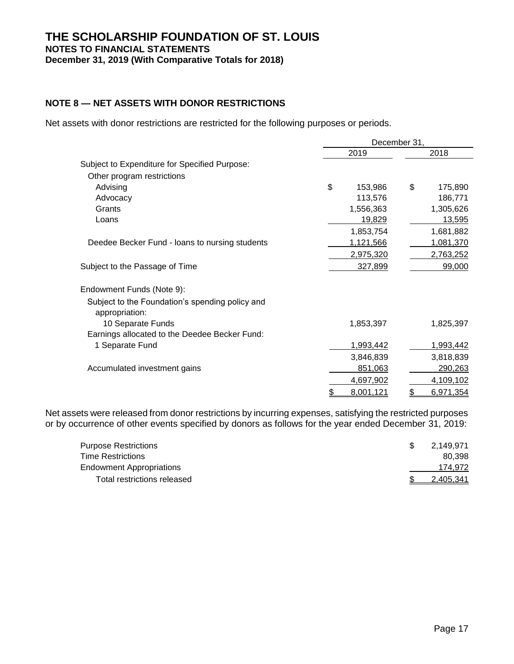## **NOTE 8 — NET ASSETS WITH DONOR RESTRICTIONS**

Net assets with donor restrictions are restricted for the following purposes or periods.

|                                                                   | December 31, |           |    |                  |  |
|-------------------------------------------------------------------|--------------|-----------|----|------------------|--|
|                                                                   |              | 2019      |    | 2018             |  |
| Subject to Expenditure for Specified Purpose:                     |              |           |    |                  |  |
| Other program restrictions                                        |              |           |    |                  |  |
| Advising                                                          | \$           | 153,986   | \$ | 175,890          |  |
| Advocacy                                                          |              | 113,576   |    | 186,771          |  |
| Grants                                                            |              | 1,556,363 |    | 1,305,626        |  |
| Loans                                                             |              | 19,829    |    | 13,595           |  |
|                                                                   |              | 1,853,754 |    | 1,681,882        |  |
| Deedee Becker Fund - loans to nursing students                    |              | 1,121,566 |    | 1,081,370        |  |
|                                                                   |              | 2,975,320 |    | 2,763,252        |  |
| Subject to the Passage of Time                                    |              | 327,899   |    | 99,000           |  |
| Endowment Funds (Note 9):                                         |              |           |    |                  |  |
| Subject to the Foundation's spending policy and<br>appropriation: |              |           |    |                  |  |
| 10 Separate Funds                                                 |              | 1,853,397 |    | 1,825,397        |  |
| Earnings allocated to the Deedee Becker Fund:                     |              |           |    |                  |  |
| 1 Separate Fund                                                   |              | 1,993,442 |    | <u>1,993,442</u> |  |
|                                                                   |              | 3,846,839 |    | 3,818,839        |  |
| Accumulated investment gains                                      |              | 851,063   |    | 290,263          |  |
|                                                                   |              | 4,697,902 |    | 4,109,102        |  |
|                                                                   | \$           | 8,001,121 | \$ | 6,971,354        |  |

Net assets were released from donor restrictions by incurring expenses, satisfying the restricted purposes or by occurrence of other events specified by donors as follows for the year ended December 31, 2019:

| <b>Purpose Restrictions</b>     | 2.149.971 |
|---------------------------------|-----------|
| <b>Time Restrictions</b>        | 80.398    |
| <b>Endowment Appropriations</b> | 174.972   |
| Total restrictions released     | 2.405.341 |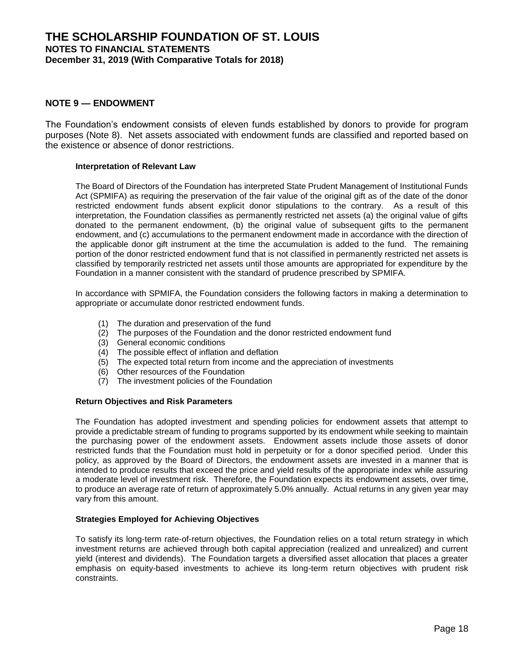#### **NOTE 9 — ENDOWMENT**

The Foundation's endowment consists of eleven funds established by donors to provide for program purposes (Note 8). Net assets associated with endowment funds are classified and reported based on the existence or absence of donor restrictions.

#### **Interpretation of Relevant Law**

The Board of Directors of the Foundation has interpreted State Prudent Management of Institutional Funds Act (SPMIFA) as requiring the preservation of the fair value of the original gift as of the date of the donor restricted endowment funds absent explicit donor stipulations to the contrary. As a result of this interpretation, the Foundation classifies as permanently restricted net assets (a) the original value of gifts donated to the permanent endowment, (b) the original value of subsequent gifts to the permanent endowment, and (c) accumulations to the permanent endowment made in accordance with the direction of the applicable donor gift instrument at the time the accumulation is added to the fund. The remaining portion of the donor restricted endowment fund that is not classified in permanently restricted net assets is classified by temporarily restricted net assets until those amounts are appropriated for expenditure by the Foundation in a manner consistent with the standard of prudence prescribed by SPMIFA.

In accordance with SPMIFA, the Foundation considers the following factors in making a determination to appropriate or accumulate donor restricted endowment funds.

- (1) The duration and preservation of the fund
- (2) The purposes of the Foundation and the donor restricted endowment fund
- (3) General economic conditions
- (4) The possible effect of inflation and deflation
- (5) The expected total return from income and the appreciation of investments
- (6) Other resources of the Foundation
- (7) The investment policies of the Foundation

#### **Return Objectives and Risk Parameters**

The Foundation has adopted investment and spending policies for endowment assets that attempt to provide a predictable stream of funding to programs supported by its endowment while seeking to maintain the purchasing power of the endowment assets. Endowment assets include those assets of donor restricted funds that the Foundation must hold in perpetuity or for a donor specified period. Under this policy, as approved by the Board of Directors, the endowment assets are invested in a manner that is intended to produce results that exceed the price and yield results of the appropriate index while assuring a moderate level of investment risk. Therefore, the Foundation expects its endowment assets, over time, to produce an average rate of return of approximately 5.0% annually. Actual returns in any given year may vary from this amount.

#### **Strategies Employed for Achieving Objectives**

To satisfy its long-term rate-of-return objectives, the Foundation relies on a total return strategy in which investment returns are achieved through both capital appreciation (realized and unrealized) and current yield (interest and dividends). The Foundation targets a diversified asset allocation that places a greater emphasis on equity-based investments to achieve its long-term return objectives with prudent risk constraints.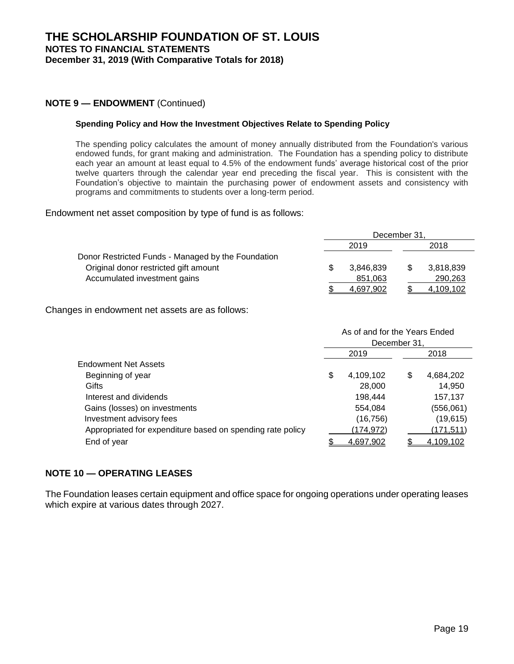## **NOTE 9 — ENDOWMENT** (Continued)

#### **Spending Policy and How the Investment Objectives Relate to Spending Policy**

The spending policy calculates the amount of money annually distributed from the Foundation's various endowed funds, for grant making and administration. The Foundation has a spending policy to distribute each year an amount at least equal to 4.5% of the endowment funds' average historical cost of the prior twelve quarters through the calendar year end preceding the fiscal year. This is consistent with the Foundation's objective to maintain the purchasing power of endowment assets and consistency with programs and commitments to students over a long-term period.

Endowment net asset composition by type of fund is as follows:

|                                                    | December 31. |           |  |           |  |
|----------------------------------------------------|--------------|-----------|--|-----------|--|
|                                                    |              | 2019      |  | 2018      |  |
| Donor Restricted Funds - Managed by the Foundation |              |           |  |           |  |
| Original donor restricted gift amount              | \$           | 3.846.839 |  | 3,818,839 |  |
| Accumulated investment gains                       |              | 851,063   |  | 290,263   |  |
|                                                    |              | 4.697.902 |  | 4.109.102 |  |

Changes in endowment net assets are as follows:

|                                                            | As of and for the Years Ended |           |    |            |  |  |
|------------------------------------------------------------|-------------------------------|-----------|----|------------|--|--|
|                                                            | December 31,                  |           |    |            |  |  |
|                                                            |                               | 2019      |    | 2018       |  |  |
| <b>Endowment Net Assets</b>                                |                               |           |    |            |  |  |
| Beginning of year                                          | \$                            | 4,109,102 | \$ | 4,684,202  |  |  |
| Gifts                                                      |                               | 28,000    |    | 14,950     |  |  |
| Interest and dividends                                     |                               | 198,444   |    | 157,137    |  |  |
| Gains (losses) on investments                              |                               | 554,084   |    | (556,061)  |  |  |
| Investment advisory fees                                   |                               | (16, 756) |    | (19, 615)  |  |  |
| Appropriated for expenditure based on spending rate policy |                               | (174,972) |    | (171, 511) |  |  |
| End of year                                                |                               | 4,697,902 |    | 4,109,102  |  |  |

## **NOTE 10 — OPERATING LEASES**

The Foundation leases certain equipment and office space for ongoing operations under operating leases which expire at various dates through 2027.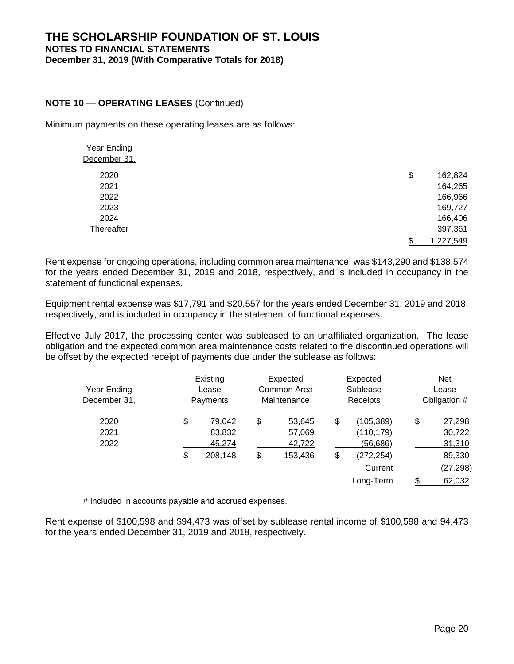## **THE SCHOLARSHIP FOUNDATION OF ST. LOUIS NOTES TO FINANCIAL STATEMENTS December 31, 2019 (With Comparative Totals for 2018)**

## **NOTE 10 — OPERATING LEASES** (Continued)

Minimum payments on these operating leases are as follows:

| Year Ending  |                 |
|--------------|-----------------|
| December 31, |                 |
| 2020         | \$<br>162,824   |
| 2021         | 164,265         |
| 2022         | 166,966         |
| 2023         | 169,727         |
| 2024         | 166,406         |
| Thereafter   | 397,361         |
|              | 1,227,549<br>\$ |

Rent expense for ongoing operations, including common area maintenance, was \$143,290 and \$138,574 for the years ended December 31, 2019 and 2018, respectively, and is included in occupancy in the statement of functional expenses.

Equipment rental expense was \$17,791 and \$20,557 for the years ended December 31, 2019 and 2018, respectively, and is included in occupancy in the statement of functional expenses.

Effective July 2017, the processing center was subleased to an unaffiliated organization. The lease obligation and the expected common area maintenance costs related to the discontinued operations will be offset by the expected receipt of payments due under the sublease as follows:

| Year Ending<br>December 31, | Existing<br>Lease<br>Payments               |    | Expected<br>Common Area<br>Maintenance |    |                                                                            |                                                                   | Expected<br>Sublease<br>Receipts | <b>Net</b><br>Lease<br>Obligation # |
|-----------------------------|---------------------------------------------|----|----------------------------------------|----|----------------------------------------------------------------------------|-------------------------------------------------------------------|----------------------------------|-------------------------------------|
| 2020<br>2021<br>2022        | \$<br>79,042<br>83,832<br>45,274<br>208,148 | \$ | 53.645<br>57,069<br>42,722<br>153,436  | \$ | (105, 389)<br>(110, 179)<br>(56,686)<br>(272, 254)<br>Current<br>Long-Term | \$<br>27,298<br>30,722<br>31,310<br>89,330<br>(27, 298)<br>62,032 |                                  |                                     |

# Included in accounts payable and accrued expenses.

Rent expense of \$100,598 and \$94,473 was offset by sublease rental income of \$100,598 and 94,473 for the years ended December 31, 2019 and 2018, respectively.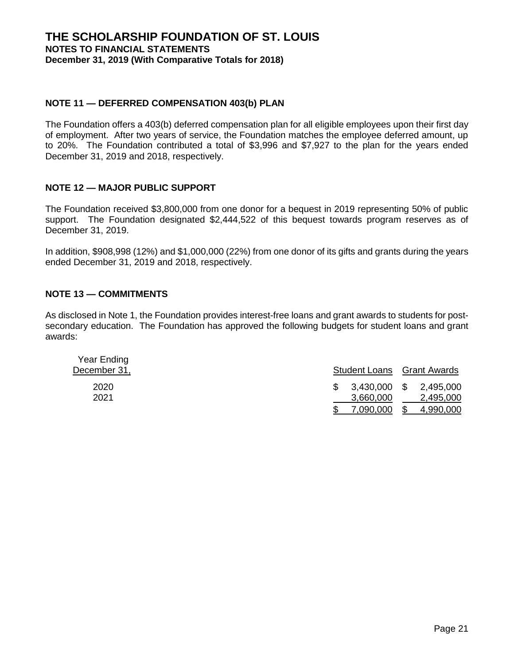## **NOTE 11 — DEFERRED COMPENSATION 403(b) PLAN**

The Foundation offers a 403(b) deferred compensation plan for all eligible employees upon their first day of employment. After two years of service, the Foundation matches the employee deferred amount, up to 20%. The Foundation contributed a total of \$3,996 and \$7,927 to the plan for the years ended December 31, 2019 and 2018, respectively.

## **NOTE 12 — MAJOR PUBLIC SUPPORT**

The Foundation received \$3,800,000 from one donor for a bequest in 2019 representing 50% of public support. The Foundation designated \$2,444,522 of this bequest towards program reserves as of December 31, 2019.

In addition, \$908,998 (12%) and \$1,000,000 (22%) from one donor of its gifts and grants during the years ended December 31, 2019 and 2018, respectively.

## **NOTE 13 — COMMITMENTS**

As disclosed in Note 1, the Foundation provides interest-free loans and grant awards to students for postsecondary education. The Foundation has approved the following budgets for student loans and grant awards:

| Year Ending<br>December 31, |              | <b>Student Loans</b> Grant Awards |
|-----------------------------|--------------|-----------------------------------|
| 2020                        | 3,430,000 \$ | 2,495,000                         |
| 2021                        | 3,660,000    | 2,495,000                         |
|                             | 7.090.000    | 4,990,000                         |